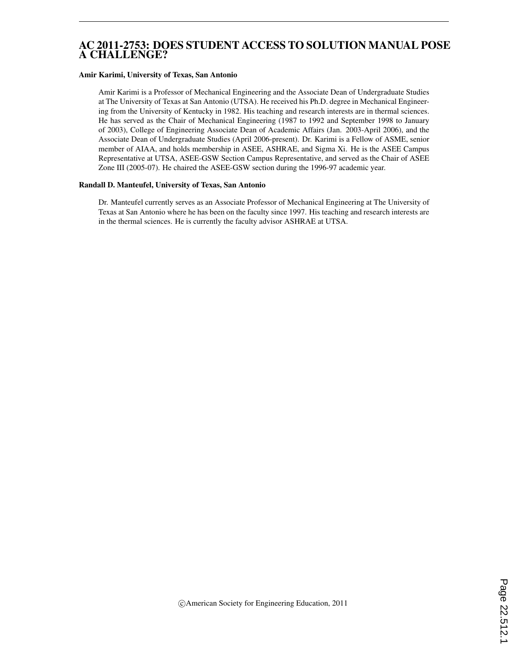# AC 2011-2753: DOES STUDENT ACCESS TO SOLUTION MANUAL POSE A CHALLENGE?

#### Amir Karimi, University of Texas, San Antonio

Amir Karimi is a Professor of Mechanical Engineering and the Associate Dean of Undergraduate Studies at The University of Texas at San Antonio (UTSA). He received his Ph.D. degree in Mechanical Engineering from the University of Kentucky in 1982. His teaching and research interests are in thermal sciences. He has served as the Chair of Mechanical Engineering (1987 to 1992 and September 1998 to January of 2003), College of Engineering Associate Dean of Academic Affairs (Jan. 2003-April 2006), and the Associate Dean of Undergraduate Studies (April 2006-present). Dr. Karimi is a Fellow of ASME, senior member of AIAA, and holds membership in ASEE, ASHRAE, and Sigma Xi. He is the ASEE Campus Representative at UTSA, ASEE-GSW Section Campus Representative, and served as the Chair of ASEE Zone III (2005-07). He chaired the ASEE-GSW section during the 1996-97 academic year.

#### Randall D. Manteufel, University of Texas, San Antonio

Dr. Manteufel currently serves as an Associate Professor of Mechanical Engineering at The University of Texas at San Antonio where he has been on the faculty since 1997. His teaching and research interests are in the thermal sciences. He is currently the faculty advisor ASHRAE at UTSA.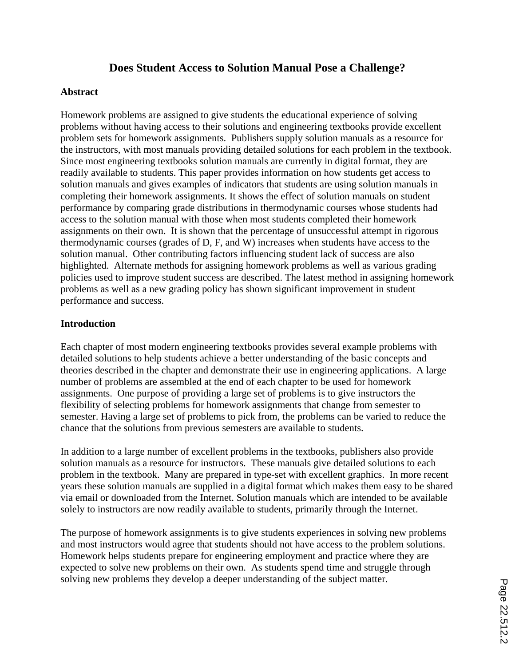# **Does Student Access to Solution Manual Pose a Challenge?**

### **Abstract**

Homework problems are assigned to give students the educational experience of solving problems without having access to their solutions and engineering textbooks provide excellent problem sets for homework assignments. Publishers supply solution manuals as a resource for the instructors, with most manuals providing detailed solutions for each problem in the textbook. Since most engineering textbooks solution manuals are currently in digital format, they are readily available to students. This paper provides information on how students get access to solution manuals and gives examples of indicators that students are using solution manuals in completing their homework assignments. It shows the effect of solution manuals on student performance by comparing grade distributions in thermodynamic courses whose students had access to the solution manual with those when most students completed their homework assignments on their own. It is shown that the percentage of unsuccessful attempt in rigorous thermodynamic courses (grades of D, F, and W) increases when students have access to the solution manual. Other contributing factors influencing student lack of success are also highlighted. Alternate methods for assigning homework problems as well as various grading policies used to improve student success are described. The latest method in assigning homework problems as well as a new grading policy has shown significant improvement in student performance and success.

## **Introduction**

Each chapter of most modern engineering textbooks provides several example problems with detailed solutions to help students achieve a better understanding of the basic concepts and theories described in the chapter and demonstrate their use in engineering applications. A large number of problems are assembled at the end of each chapter to be used for homework assignments. One purpose of providing a large set of problems is to give instructors the flexibility of selecting problems for homework assignments that change from semester to semester. Having a large set of problems to pick from, the problems can be varied to reduce the chance that the solutions from previous semesters are available to students.

In addition to a large number of excellent problems in the textbooks, publishers also provide solution manuals as a resource for instructors. These manuals give detailed solutions to each problem in the textbook. Many are prepared in type-set with excellent graphics. In more recent years these solution manuals are supplied in a digital format which makes them easy to be shared via email or downloaded from the Internet. Solution manuals which are intended to be available solely to instructors are now readily available to students, primarily through the Internet.

The purpose of homework assignments is to give students experiences in solving new problems and most instructors would agree that students should not have access to the problem solutions. Homework helps students prepare for engineering employment and practice where they are expected to solve new problems on their own. As students spend time and struggle through solving new problems they develop a deeper understanding of the subject matter.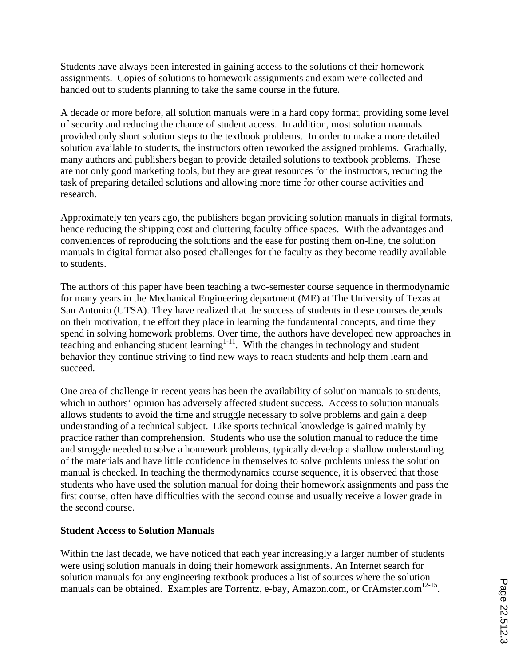Students have always been interested in gaining access to the solutions of their homework assignments. Copies of solutions to homework assignments and exam were collected and handed out to students planning to take the same course in the future.

A decade or more before, all solution manuals were in a hard copy format, providing some level of security and reducing the chance of student access. In addition, most solution manuals provided only short solution steps to the textbook problems. In order to make a more detailed solution available to students, the instructors often reworked the assigned problems. Gradually, many authors and publishers began to provide detailed solutions to textbook problems. These are not only good marketing tools, but they are great resources for the instructors, reducing the task of preparing detailed solutions and allowing more time for other course activities and research.

Approximately ten years ago, the publishers began providing solution manuals in digital formats, hence reducing the shipping cost and cluttering faculty office spaces. With the advantages and conveniences of reproducing the solutions and the ease for posting them on-line, the solution manuals in digital format also posed challenges for the faculty as they become readily available to students.

The authors of this paper have been teaching a two-semester course sequence in thermodynamic for many years in the Mechanical Engineering department (ME) at The University of Texas at San Antonio (UTSA). They have realized that the success of students in these courses depends on their motivation, the effort they place in learning the fundamental concepts, and time they spend in solving homework problems. Over time, the authors have developed new approaches in teaching and enhancing student learning $1-11$ . With the changes in technology and student behavior they continue striving to find new ways to reach students and help them learn and succeed.

One area of challenge in recent years has been the availability of solution manuals to students, which in authors' opinion has adversely affected student success. Access to solution manuals allows students to avoid the time and struggle necessary to solve problems and gain a deep understanding of a technical subject. Like sports technical knowledge is gained mainly by practice rather than comprehension. Students who use the solution manual to reduce the time and struggle needed to solve a homework problems, typically develop a shallow understanding of the materials and have little confidence in themselves to solve problems unless the solution manual is checked. In teaching the thermodynamics course sequence, it is observed that those students who have used the solution manual for doing their homework assignments and pass the first course, often have difficulties with the second course and usually receive a lower grade in the second course.

### **Student Access to Solution Manuals**

Within the last decade, we have noticed that each year increasingly a larger number of students were using solution manuals in doing their homework assignments. An Internet search for solution manuals for any engineering textbook produces a list of sources where the solution manuals can be obtained. Examples are Torrentz, e-bay, Amazon.com, or CrAmster.com<sup>12-15</sup>.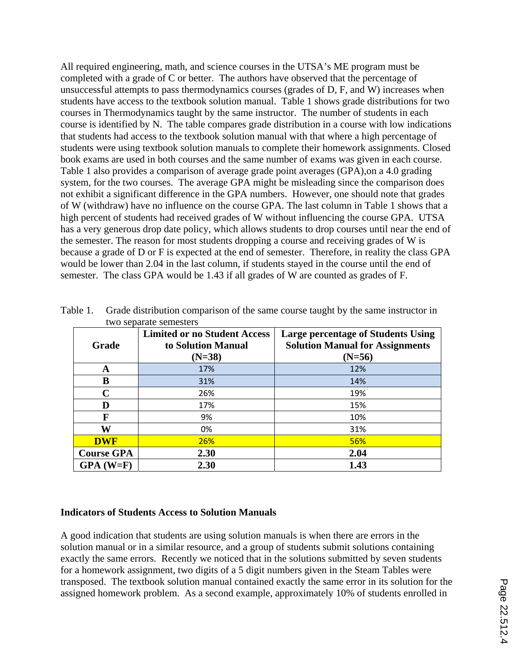All required engineering, math, and science courses in the UTSA's ME program must be completed with a grade of C or better. The authors have observed that the percentage of unsuccessful attempts to pass thermodynamics courses (grades of D, F, and W) increases when students have access to the textbook solution manual. Table 1 shows grade distributions for two courses in Thermodynamics taught by the same instructor. The number of students in each course is identified by N. The table compares grade distribution in a course with low indications that students had access to the textbook solution manual with that where a high percentage of students were using textbook solution manuals to complete their homework assignments. Closed book exams are used in both courses and the same number of exams was given in each course. Table 1 also provides a comparison of average grade point averages (GPA),on a 4.0 grading system, for the two courses. The average GPA might be misleading since the comparison does not exhibit a significant difference in the GPA numbers. However, one should note that grades of W (withdraw) have no influence on the course GPA. The last column in Table 1 shows that a high percent of students had received grades of W without influencing the course GPA. UTSA has a very generous drop date policy, which allows students to drop courses until near the end of the semester. The reason for most students dropping a course and receiving grades of W is because a grade of D or F is expected at the end of semester. Therefore, in reality the class GPA would be lower than 2.04 in the last column, if students stayed in the course until the end of semester. The class GPA would be 1.43 if all grades of W are counted as grades of F.

| Grade             | <b>Limited or no Student Access</b><br>to Solution Manual<br>$(N=38)$ | <b>Large percentage of Students Using</b><br><b>Solution Manual for Assignments</b><br>$(N=56)$ |  |  |  |
|-------------------|-----------------------------------------------------------------------|-------------------------------------------------------------------------------------------------|--|--|--|
| A                 | 17%                                                                   | 12%                                                                                             |  |  |  |
| В                 | 31%                                                                   | 14%                                                                                             |  |  |  |
| C                 | 26%                                                                   | 19%<br>15%                                                                                      |  |  |  |
| D                 | 17%                                                                   |                                                                                                 |  |  |  |
| F                 | 9%                                                                    | 10%                                                                                             |  |  |  |
| W                 | 0%                                                                    | 31%                                                                                             |  |  |  |
| <b>DWF</b>        | 26%                                                                   | 56%                                                                                             |  |  |  |
| <b>Course GPA</b> | 2.30                                                                  | 2.04                                                                                            |  |  |  |
| $GPA (W=F)$       | 2.30                                                                  | 1.43                                                                                            |  |  |  |

Table 1. Grade distribution comparison of the same course taught by the same instructor in two separate semesters

#### **Indicators of Students Access to Solution Manuals**

A good indication that students are using solution manuals is when there are errors in the solution manual or in a similar resource, and a group of students submit solutions containing exactly the same errors. Recently we noticed that in the solutions submitted by seven students for a homework assignment, two digits of a 5 digit numbers given in the Steam Tables were transposed. The textbook solution manual contained exactly the same error in its solution for the assigned homework problem. As a second example, approximately 10% of students enrolled in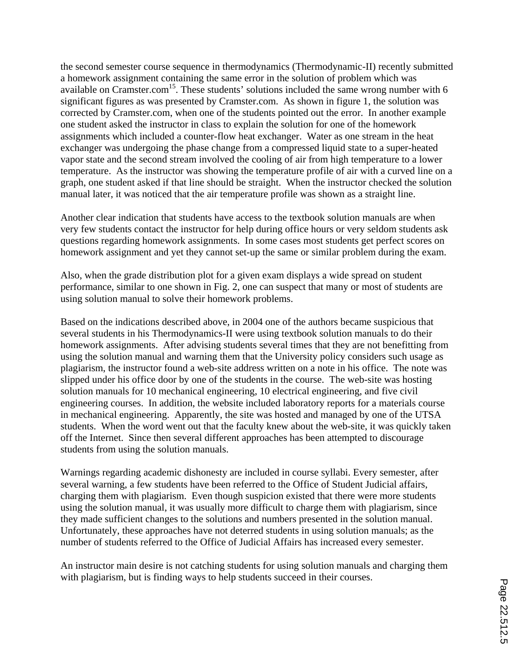the second semester course sequence in thermodynamics (Thermodynamic-II) recently submitted a homework assignment containing the same error in the solution of problem which was available on Cramster.com<sup>15</sup>. These students' solutions included the same wrong number with  $6$ significant figures as was presented by Cramster.com. As shown in figure 1, the solution was corrected by Cramster.com, when one of the students pointed out the error. In another example one student asked the instructor in class to explain the solution for one of the homework assignments which included a counter-flow heat exchanger. Water as one stream in the heat exchanger was undergoing the phase change from a compressed liquid state to a super-heated vapor state and the second stream involved the cooling of air from high temperature to a lower temperature. As the instructor was showing the temperature profile of air with a curved line on a graph, one student asked if that line should be straight. When the instructor checked the solution manual later, it was noticed that the air temperature profile was shown as a straight line.

Another clear indication that students have access to the textbook solution manuals are when very few students contact the instructor for help during office hours or very seldom students ask questions regarding homework assignments. In some cases most students get perfect scores on homework assignment and yet they cannot set-up the same or similar problem during the exam.

Also, when the grade distribution plot for a given exam displays a wide spread on student performance, similar to one shown in Fig. 2, one can suspect that many or most of students are using solution manual to solve their homework problems.

Based on the indications described above, in 2004 one of the authors became suspicious that several students in his Thermodynamics-II were using textbook solution manuals to do their homework assignments. After advising students several times that they are not benefitting from using the solution manual and warning them that the University policy considers such usage as plagiarism, the instructor found a web-site address written on a note in his office. The note was slipped under his office door by one of the students in the course. The web-site was hosting solution manuals for 10 mechanical engineering, 10 electrical engineering, and five civil engineering courses. In addition, the website included laboratory reports for a materials course in mechanical engineering. Apparently, the site was hosted and managed by one of the UTSA students. When the word went out that the faculty knew about the web-site, it was quickly taken off the Internet. Since then several different approaches has been attempted to discourage students from using the solution manuals.

Warnings regarding academic dishonesty are included in course syllabi. Every semester, after several warning, a few students have been referred to the Office of Student Judicial affairs, charging them with plagiarism. Even though suspicion existed that there were more students using the solution manual, it was usually more difficult to charge them with plagiarism, since they made sufficient changes to the solutions and numbers presented in the solution manual. Unfortunately, these approaches have not deterred students in using solution manuals; as the number of students referred to the Office of Judicial Affairs has increased every semester.

An instructor main desire is not catching students for using solution manuals and charging them with plagiarism, but is finding ways to help students succeed in their courses.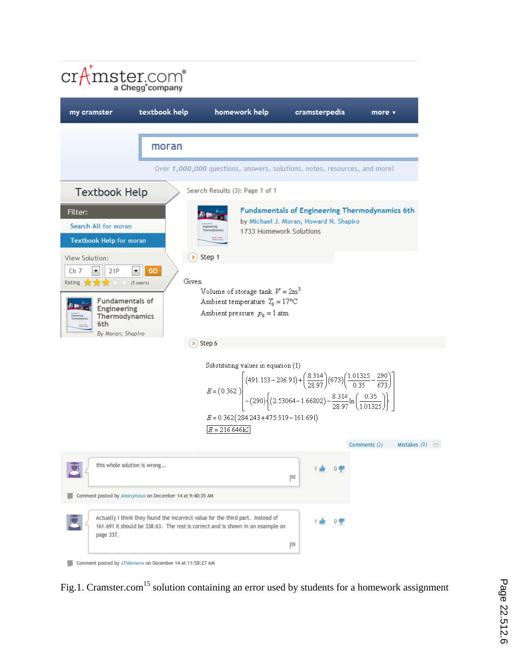| CTA mster.com®                                                                                                                                          |                                                           |                                                                                                                                                                                                                                                                                                                                                                                                                                    |                                                                                                 |                              |
|---------------------------------------------------------------------------------------------------------------------------------------------------------|-----------------------------------------------------------|------------------------------------------------------------------------------------------------------------------------------------------------------------------------------------------------------------------------------------------------------------------------------------------------------------------------------------------------------------------------------------------------------------------------------------|-------------------------------------------------------------------------------------------------|------------------------------|
| my cramster                                                                                                                                             | textbook help                                             | homework help                                                                                                                                                                                                                                                                                                                                                                                                                      | cramsterpedia                                                                                   | more v                       |
|                                                                                                                                                         | moran                                                     | Over 1,000,000 questions, answers, solutions, notes, resources, and more!                                                                                                                                                                                                                                                                                                                                                          |                                                                                                 |                              |
| <b>Textbook Help</b>                                                                                                                                    |                                                           | Search Results (3): Page 1 of 1                                                                                                                                                                                                                                                                                                                                                                                                    |                                                                                                 |                              |
| Filter:<br>Search All for moran<br><b>Textbook Help for moran</b>                                                                                       |                                                           | 1733 Homework Solutions<br>ermodynan                                                                                                                                                                                                                                                                                                                                                                                               | <b>Fundamentals of Engineering Thermodynamics 6th</b><br>by Michael J. Moran, Howard N. Shapiro |                              |
| View Solution:<br>21P<br>Ch <sub>7</sub><br>Rating<br><b>Fundamentals of</b><br><b>Engineering</b><br><b>Thermodynamics</b><br>6th<br>By Moran, Shapiro | ×<br>GO<br>$\overline{\phantom{a}}$<br>Given<br>(5 users) | Step 1<br>Volume of storage tank $V = 2m^3$<br>Ambient temperature $T_0 = 17^{\circ}$ C<br>Ambient pressure $p_0 = 1$ atm                                                                                                                                                                                                                                                                                                          |                                                                                                 |                              |
|                                                                                                                                                         | $\rightarrow$                                             | Step 6                                                                                                                                                                                                                                                                                                                                                                                                                             |                                                                                                 |                              |
|                                                                                                                                                         |                                                           | Substituting values in equation (1)<br>$E = (0.362) \left\{ \begin{aligned} &\left(491.153 - 206.91\right) + \left(\frac{8.314}{28.97}\right) (673) \left(\frac{1.01325}{0.35} - \frac{290}{673}\right) \\ &- \left(290\right) \left\{ \left(2.53064 - 1.66802\right) - \frac{8.314}{28.97} \ln \left(\frac{0.35}{1.01325}\right) \right\} \end{aligned} \right\}$<br>$E = 0.362(284.243 + 475.919 - 161.691)$<br>$E = 216.646 kJ$ |                                                                                                 |                              |
|                                                                                                                                                         | this whole solution is wrong                              |                                                                                                                                                                                                                                                                                                                                                                                                                                    | 0 <sub>1</sub>                                                                                  | Comments (2)<br>Mistakes (0) |
|                                                                                                                                                         | Comment posted by Anonymous on December 14 at 9:40:35 AM  |                                                                                                                                                                                                                                                                                                                                                                                                                                    | P                                                                                               |                              |
| page 337.                                                                                                                                               |                                                           | Actually I think they found the incorrect value for the third part. Instead of<br>161.691 it should be 338.63. The rest is correct and is shown in an example on                                                                                                                                                                                                                                                                   | $0 -$<br>P                                                                                      |                              |

Fig.1. Cramster.com<sup>15</sup> solution containing an error used by students for a homework assignment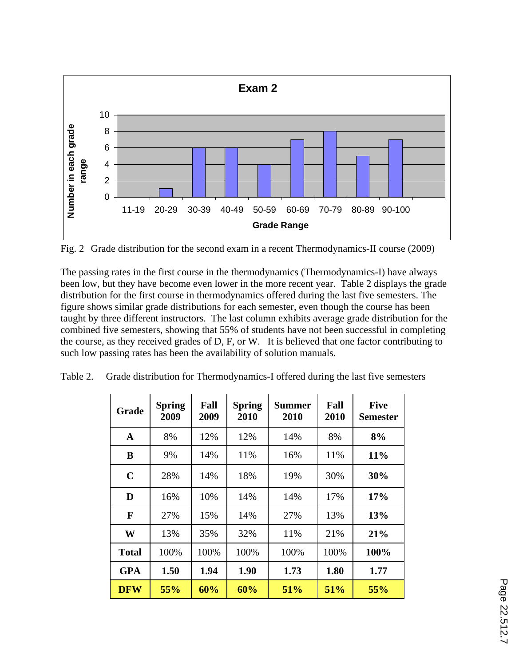

Fig. 2 Grade distribution for the second exam in a recent Thermodynamics-II course (2009)

The passing rates in the first course in the thermodynamics (Thermodynamics-I) have always been low, but they have become even lower in the more recent year. Table 2 displays the grade distribution for the first course in thermodynamics offered during the last five semesters. The figure shows similar grade distributions for each semester, even though the course has been taught by three different instructors. The last column exhibits average grade distribution for the combined five semesters, showing that 55% of students have not been successful in completing the course, as they received grades of D, F, or W. It is believed that one factor contributing to such low passing rates has been the availability of solution manuals.

| Grade        | <b>Spring</b><br>2009 | Fall<br>2009 | <b>Spring</b><br>2010 | Fall<br>Summer<br>2010<br>2010 |      | <b>Five</b><br><b>Semester</b> |
|--------------|-----------------------|--------------|-----------------------|--------------------------------|------|--------------------------------|
| $\mathbf{A}$ | 8%                    | 12%          | 12%                   | 14%                            | 8%   | 8%                             |
| B            | 9%                    | 14%          | 11%                   | 16%                            | 11%  | 11%                            |
| $\mathbf C$  | 28%                   | 14%          | 18%                   | 19%                            | 30%  | 30%                            |
| D            | 16%                   | 10%          | 14%                   | 14%                            | 17%  | 17%                            |
| F            | 27%                   | 15%          | 14%                   | 27%                            | 13%  | 13%                            |
| W            | 13%                   | 35%          | 32%                   | 11%                            | 21%  | 21%                            |
| <b>Total</b> | 100%                  | 100%         | 100%                  | 100%                           | 100% | 100%                           |
| <b>GPA</b>   | 1.50                  | 1.94         | 1.90                  | 1.73                           | 1.80 | 1.77                           |
| <b>DFW</b>   | 55%                   | 60%          | 60%                   | 51%                            | 51%  | 55%                            |

Table 2. Grade distribution for Thermodynamics-I offered during the last five semesters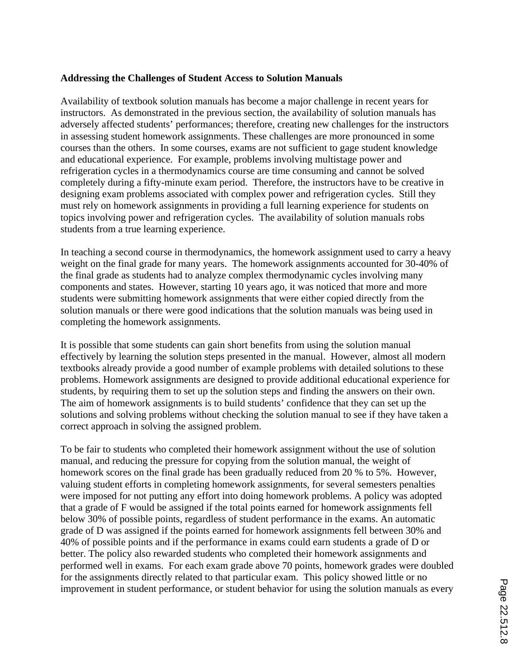### **Addressing the Challenges of Student Access to Solution Manuals**

Availability of textbook solution manuals has become a major challenge in recent years for instructors. As demonstrated in the previous section, the availability of solution manuals has adversely affected students' performances; therefore, creating new challenges for the instructors in assessing student homework assignments. These challenges are more pronounced in some courses than the others. In some courses, exams are not sufficient to gage student knowledge and educational experience. For example, problems involving multistage power and refrigeration cycles in a thermodynamics course are time consuming and cannot be solved completely during a fifty-minute exam period. Therefore, the instructors have to be creative in designing exam problems associated with complex power and refrigeration cycles. Still they must rely on homework assignments in providing a full learning experience for students on topics involving power and refrigeration cycles. The availability of solution manuals robs students from a true learning experience.

In teaching a second course in thermodynamics, the homework assignment used to carry a heavy weight on the final grade for many years. The homework assignments accounted for 30-40% of the final grade as students had to analyze complex thermodynamic cycles involving many components and states. However, starting 10 years ago, it was noticed that more and more students were submitting homework assignments that were either copied directly from the solution manuals or there were good indications that the solution manuals was being used in completing the homework assignments.

It is possible that some students can gain short benefits from using the solution manual effectively by learning the solution steps presented in the manual. However, almost all modern textbooks already provide a good number of example problems with detailed solutions to these problems. Homework assignments are designed to provide additional educational experience for students, by requiring them to set up the solution steps and finding the answers on their own. The aim of homework assignments is to build students' confidence that they can set up the solutions and solving problems without checking the solution manual to see if they have taken a correct approach in solving the assigned problem.

To be fair to students who completed their homework assignment without the use of solution manual, and reducing the pressure for copying from the solution manual, the weight of homework scores on the final grade has been gradually reduced from 20 % to 5%. However, valuing student efforts in completing homework assignments, for several semesters penalties were imposed for not putting any effort into doing homework problems. A policy was adopted that a grade of F would be assigned if the total points earned for homework assignments fell below 30% of possible points, regardless of student performance in the exams. An automatic grade of D was assigned if the points earned for homework assignments fell between 30% and 40% of possible points and if the performance in exams could earn students a grade of D or better. The policy also rewarded students who completed their homework assignments and performed well in exams. For each exam grade above 70 points, homework grades were doubled for the assignments directly related to that particular exam. This policy showed little or no improvement in student performance, or student behavior for using the solution manuals as every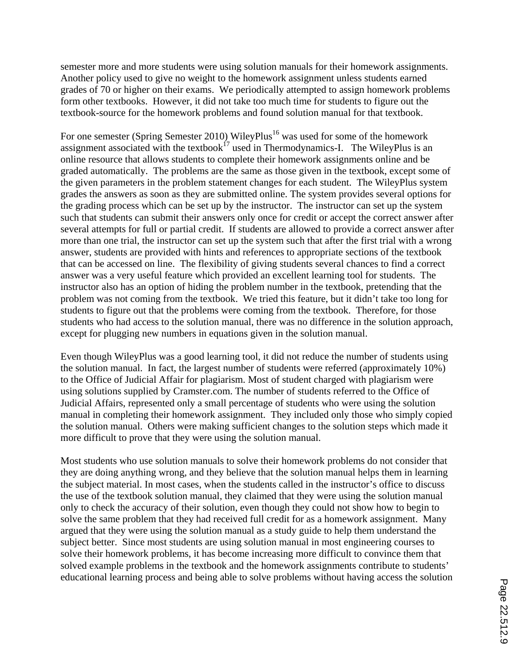semester more and more students were using solution manuals for their homework assignments. Another policy used to give no weight to the homework assignment unless students earned grades of 70 or higher on their exams. We periodically attempted to assign homework problems form other textbooks. However, it did not take too much time for students to figure out the textbook-source for the homework problems and found solution manual for that textbook.

For one semester (Spring Semester 2010) WileyPlus<sup>16</sup> was used for some of the homework assignment associated with the textbook $^{17}$  used in Thermodynamics-I. The WileyPlus is an online resource that allows students to complete their homework assignments online and be graded automatically. The problems are the same as those given in the textbook, except some of the given parameters in the problem statement changes for each student. The WileyPlus system grades the answers as soon as they are submitted online. The system provides several options for the grading process which can be set up by the instructor. The instructor can set up the system such that students can submit their answers only once for credit or accept the correct answer after several attempts for full or partial credit. If students are allowed to provide a correct answer after more than one trial, the instructor can set up the system such that after the first trial with a wrong answer, students are provided with hints and references to appropriate sections of the textbook that can be accessed on line. The flexibility of giving students several chances to find a correct answer was a very useful feature which provided an excellent learning tool for students. The instructor also has an option of hiding the problem number in the textbook, pretending that the problem was not coming from the textbook. We tried this feature, but it didn't take too long for students to figure out that the problems were coming from the textbook. Therefore, for those students who had access to the solution manual, there was no difference in the solution approach, except for plugging new numbers in equations given in the solution manual.

Even though WileyPlus was a good learning tool, it did not reduce the number of students using the solution manual. In fact, the largest number of students were referred (approximately 10%) to the Office of Judicial Affair for plagiarism. Most of student charged with plagiarism were using solutions supplied by Cramster.com. The number of students referred to the Office of Judicial Affairs, represented only a small percentage of students who were using the solution manual in completing their homework assignment. They included only those who simply copied the solution manual. Others were making sufficient changes to the solution steps which made it more difficult to prove that they were using the solution manual.

Most students who use solution manuals to solve their homework problems do not consider that they are doing anything wrong, and they believe that the solution manual helps them in learning the subject material. In most cases, when the students called in the instructor's office to discuss the use of the textbook solution manual, they claimed that they were using the solution manual only to check the accuracy of their solution, even though they could not show how to begin to solve the same problem that they had received full credit for as a homework assignment. Many argued that they were using the solution manual as a study guide to help them understand the subject better. Since most students are using solution manual in most engineering courses to solve their homework problems, it has become increasing more difficult to convince them that solved example problems in the textbook and the homework assignments contribute to students' educational learning process and being able to solve problems without having access the solution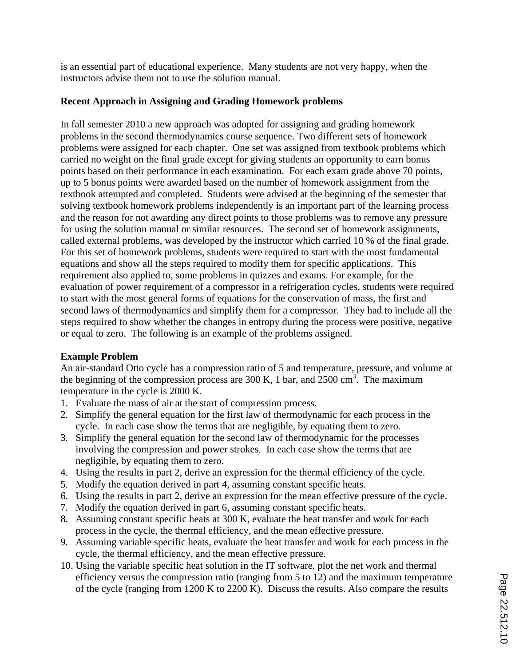is an essential part of educational experience. Many students are not very happy, when the instructors advise them not to use the solution manual.

# **Recent Approach in Assigning and Grading Homework problems**

In fall semester 2010 a new approach was adopted for assigning and grading homework problems in the second thermodynamics course sequence. Two different sets of homework problems were assigned for each chapter. One set was assigned from textbook problems which carried no weight on the final grade except for giving students an opportunity to earn bonus points based on their performance in each examination. For each exam grade above 70 points, up to 5 bonus points were awarded based on the number of homework assignment from the textbook attempted and completed. Students were advised at the beginning of the semester that solving textbook homework problems independently is an important part of the learning process and the reason for not awarding any direct points to those problems was to remove any pressure for using the solution manual or similar resources. The second set of homework assignments, called external problems, was developed by the instructor which carried 10 % of the final grade. For this set of homework problems, students were required to start with the most fundamental equations and show all the steps required to modify them for specific applications. This requirement also applied to, some problems in quizzes and exams. For example, for the evaluation of power requirement of a compressor in a refrigeration cycles, students were required to start with the most general forms of equations for the conservation of mass, the first and second laws of thermodynamics and simplify them for a compressor. They had to include all the steps required to show whether the changes in entropy during the process were positive, negative or equal to zero. The following is an example of the problems assigned.

# **Example Problem**

An air-standard Otto cycle has a compression ratio of 5 and temperature, pressure, and volume at the beginning of the compression process are 300 K, 1 bar, and  $2500 \text{ cm}^3$ . The maximum temperature in the cycle is 2000 K.

- 1. Evaluate the mass of air at the start of compression process.
- 2. Simplify the general equation for the first law of thermodynamic for each process in the cycle. In each case show the terms that are negligible, by equating them to zero.
- 3. Simplify the general equation for the second law of thermodynamic for the processes involving the compression and power strokes. In each case show the terms that are negligible, by equating them to zero.
- 4. Using the results in part 2, derive an expression for the thermal efficiency of the cycle.
- 5. Modify the equation derived in part 4, assuming constant specific heats.
- 6. Using the results in part 2, derive an expression for the mean effective pressure of the cycle.
- 7. Modify the equation derived in part 6, assuming constant specific heats.
- 8. Assuming constant specific heats at 300 K, evaluate the heat transfer and work for each process in the cycle, the thermal efficiency, and the mean effective pressure.
- 9. Assuming variable specific heats, evaluate the heat transfer and work for each process in the cycle, the thermal efficiency, and the mean effective pressure.
- 10. Using the variable specific heat solution in the IT software, plot the net work and thermal efficiency versus the compression ratio (ranging from 5 to 12) and the maximum temperature of the cycle (ranging from 1200 K to 2200 K). Discuss the results. Also compare the results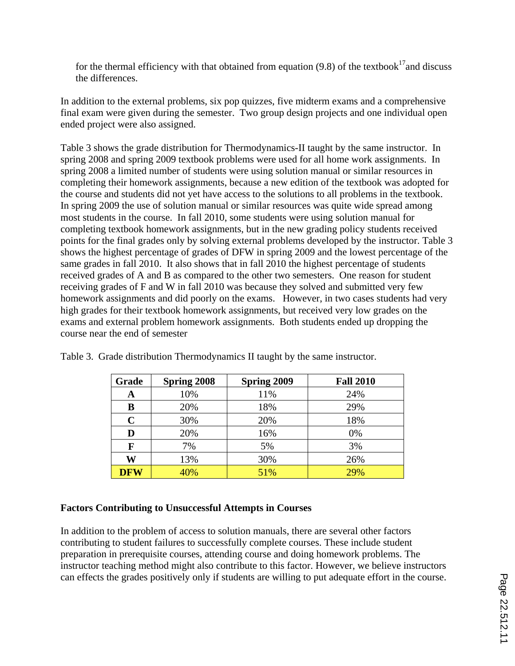for the thermal efficiency with that obtained from equation (9.8) of the textbook<sup>17</sup> and discuss the differences.

In addition to the external problems, six pop quizzes, five midterm exams and a comprehensive final exam were given during the semester. Two group design projects and one individual open ended project were also assigned.

Table 3 shows the grade distribution for Thermodynamics-II taught by the same instructor. In spring 2008 and spring 2009 textbook problems were used for all home work assignments. In spring 2008 a limited number of students were using solution manual or similar resources in completing their homework assignments, because a new edition of the textbook was adopted for the course and students did not yet have access to the solutions to all problems in the textbook. In spring 2009 the use of solution manual or similar resources was quite wide spread among most students in the course. In fall 2010, some students were using solution manual for completing textbook homework assignments, but in the new grading policy students received points for the final grades only by solving external problems developed by the instructor. Table 3 shows the highest percentage of grades of DFW in spring 2009 and the lowest percentage of the same grades in fall 2010. It also shows that in fall 2010 the highest percentage of students received grades of A and B as compared to the other two semesters. One reason for student receiving grades of F and W in fall 2010 was because they solved and submitted very few homework assignments and did poorly on the exams. However, in two cases students had very high grades for their textbook homework assignments, but received very low grades on the exams and external problem homework assignments. Both students ended up dropping the course near the end of semester

| Grade       | <b>Spring 2008</b> | <b>Spring 2009</b> | <b>Fall 2010</b> |
|-------------|--------------------|--------------------|------------------|
| A           | 10%                | 11%                | 24%              |
| В           | 20%                | 18%                | 29%              |
| $\mathbf C$ | 30%                | 20%                | 18%              |
| D           | 20%                | 16%                | 0%               |
| F           | 7%                 | 5%                 | 3%               |
| W           | 13%                | 30%                | 26%              |
| <b>DFW</b>  | 40%                | 51%                | 29%              |

Table 3. Grade distribution Thermodynamics II taught by the same instructor.

# **Factors Contributing to Unsuccessful Attempts in Courses**

In addition to the problem of access to solution manuals, there are several other factors contributing to student failures to successfully complete courses. These include student preparation in prerequisite courses, attending course and doing homework problems. The instructor teaching method might also contribute to this factor. However, we believe instructors can effects the grades positively only if students are willing to put adequate effort in the course.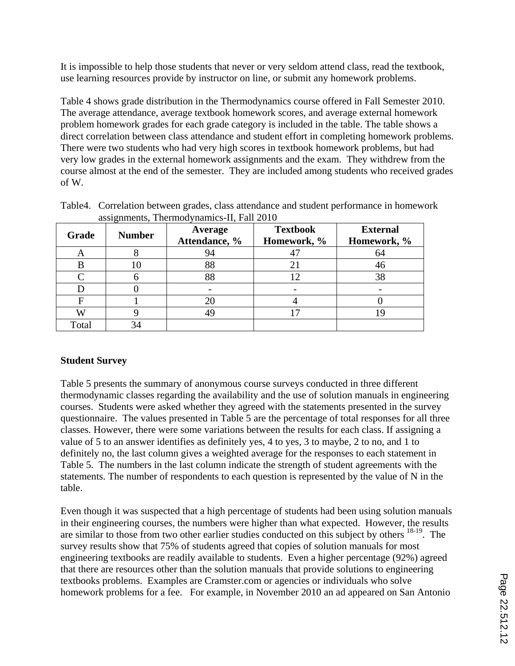It is impossible to help those students that never or very seldom attend class, read the textbook, use learning resources provide by instructor on line, or submit any homework problems.

Table 4 shows grade distribution in the Thermodynamics course offered in Fall Semester 2010. The average attendance, average textbook homework scores, and average external homework problem homework grades for each grade category is included in the table. The table shows a direct correlation between class attendance and student effort in completing homework problems. There were two students who had very high scores in textbook homework problems, but had very low grades in the external homework assignments and the exam. They withdrew from the course almost at the end of the semester. They are included among students who received grades of W.

| Grade | <b>Number</b> | Average<br>Attendance, % | <b>Textbook</b><br>Homework, % | <b>External</b><br>Homework, % |  |
|-------|---------------|--------------------------|--------------------------------|--------------------------------|--|
| A     |               |                          |                                | 64                             |  |
| В     |               | 88                       | 21                             | 46                             |  |
|       |               | 88                       |                                | 38                             |  |
|       |               |                          |                                |                                |  |
|       |               |                          |                                |                                |  |
| W     |               |                          |                                |                                |  |
| Total | 34            |                          |                                |                                |  |

Table4. Correlation between grades, class attendance and student performance in homework assignments, Thermodynamics-II, Fall 2010

# **Student Survey**

Table 5 presents the summary of anonymous course surveys conducted in three different thermodynamic classes regarding the availability and the use of solution manuals in engineering courses. Students were asked whether they agreed with the statements presented in the survey questionnaire. The values presented in Table 5 are the percentage of total responses for all three classes. However, there were some variations between the results for each class. If assigning a value of 5 to an answer identifies as definitely yes, 4 to yes, 3 to maybe, 2 to no, and 1 to definitely no, the last column gives a weighted average for the responses to each statement in Table 5. The numbers in the last column indicate the strength of student agreements with the statements. The number of respondents to each question is represented by the value of N in the table.

Even though it was suspected that a high percentage of students had been using solution manuals in their engineering courses, the numbers were higher than what expected. However, the results are similar to those from two other earlier studies conducted on this subject by others 18-19. The survey results show that 75% of students agreed that copies of solution manuals for most engineering textbooks are readily available to students. Even a higher percentage (92%) agreed that there are resources other than the solution manuals that provide solutions to engineering textbooks problems. Examples are Cramster.com or agencies or individuals who solve homework problems for a fee. For example, in November 2010 an ad appeared on San Antonio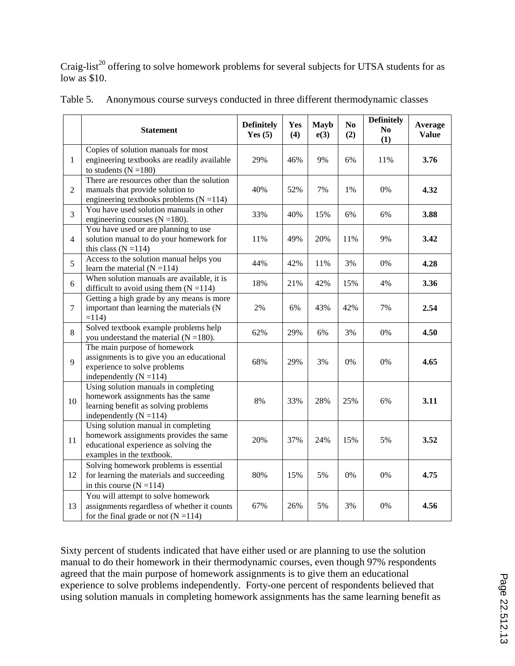Craig-list<sup>20</sup> offering to solve homework problems for several subjects for UTSA students for as low as \$10.

|                | <b>Statement</b>                                                                                                                                    | <b>Definitely</b><br>Yes $(5)$ | <b>Yes</b><br>(4) | <b>Mayb</b><br>e(3) | N <sub>0</sub><br>(2) | <b>Definitely</b><br>N <sub>0</sub><br>(1) | Average<br><b>Value</b> |
|----------------|-----------------------------------------------------------------------------------------------------------------------------------------------------|--------------------------------|-------------------|---------------------|-----------------------|--------------------------------------------|-------------------------|
| 1              | Copies of solution manuals for most<br>engineering textbooks are readily available<br>to students $(N = 180)$                                       | 29%                            | 46%               | 9%                  | 6%                    | 11%                                        | 3.76                    |
| $\overline{2}$ | There are resources other than the solution<br>manuals that provide solution to<br>engineering textbooks problems $(N = 114)$                       | 40%                            | 52%               | 7%                  | 1%                    | 0%                                         | 4.32                    |
| 3              | You have used solution manuals in other<br>engineering courses $(N = 180)$ .                                                                        | 33%                            | 40%               | 15%                 | 6%                    | 6%                                         | 3.88                    |
| $\overline{4}$ | You have used or are planning to use<br>solution manual to do your homework for<br>this class $(N = 114)$                                           | 11%                            | 49%               | 20%                 | 11%                   | 9%                                         | 3.42                    |
| 5              | Access to the solution manual helps you<br>learn the material $(N = 114)$                                                                           | 44%                            | 42%               | 11%                 | 3%                    | 0%                                         | 4.28                    |
| 6              | When solution manuals are available, it is<br>difficult to avoid using them $(N = 114)$                                                             | 18%                            | 21%               | 42%                 | 15%                   | 4%                                         | 3.36                    |
| $\overline{7}$ | Getting a high grade by any means is more<br>important than learning the materials (N<br>$=114$                                                     | 2%                             | 6%                | 43%                 | 42%                   | 7%                                         | 2.54                    |
| $8\,$          | Solved textbook example problems help<br>you understand the material $(N = 180)$ .                                                                  | 62%                            | 29%               | 6%                  | 3%                    | $0\%$                                      | 4.50                    |
| $\mathbf{Q}$   | The main purpose of homework<br>assignments is to give you an educational<br>experience to solve problems<br>independently $(N = 114)$              | 68%                            | 29%               | 3%                  | 0%                    | 0%                                         | 4.65                    |
| 10             | Using solution manuals in completing<br>homework assignments has the same<br>learning benefit as solving problems<br>independently $(N = 114)$      | 8%                             | 33%               | 28%                 | 25%                   | 6%                                         | 3.11                    |
| 11             | Using solution manual in completing<br>homework assignments provides the same<br>educational experience as solving the<br>examples in the textbook. | 20%                            | 37%               | 24%                 | 15%                   | 5%                                         | 3.52                    |
| 12             | Solving homework problems is essential<br>for learning the materials and succeeding<br>in this course $(N = 114)$                                   | 80%                            | 15%               | 5%                  | $0\%$                 | 0%                                         | 4.75                    |
| 13             | You will attempt to solve homework<br>assignments regardless of whether it counts<br>for the final grade or not $(N = 114)$                         | 67%                            | 26%               | 5%                  | 3%                    | 0%                                         | 4.56                    |

Table 5. Anonymous course surveys conducted in three different thermodynamic classes

Sixty percent of students indicated that have either used or are planning to use the solution manual to do their homework in their thermodynamic courses, even though 97% respondents agreed that the main purpose of homework assignments is to give them an educational experience to solve problems independently. Forty-one percent of respondents believed that using solution manuals in completing homework assignments has the same learning benefit as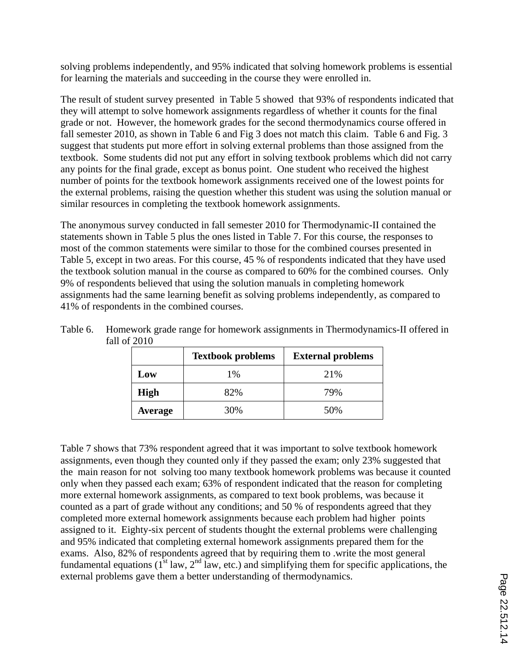solving problems independently, and 95% indicated that solving homework problems is essential for learning the materials and succeeding in the course they were enrolled in.

The result of student survey presented in Table 5 showed that 93% of respondents indicated that they will attempt to solve homework assignments regardless of whether it counts for the final grade or not. However, the homework grades for the second thermodynamics course offered in fall semester 2010, as shown in Table 6 and Fig 3 does not match this claim. Table 6 and Fig. 3 suggest that students put more effort in solving external problems than those assigned from the textbook. Some students did not put any effort in solving textbook problems which did not carry any points for the final grade, except as bonus point. One student who received the highest number of points for the textbook homework assignments received one of the lowest points for the external problems, raising the question whether this student was using the solution manual or similar resources in completing the textbook homework assignments.

The anonymous survey conducted in fall semester 2010 for Thermodynamic-II contained the statements shown in Table 5 plus the ones listed in Table 7. For this course, the responses to most of the common statements were similar to those for the combined courses presented in Table 5, except in two areas. For this course, 45 % of respondents indicated that they have used the textbook solution manual in the course as compared to 60% for the combined courses. Only 9% of respondents believed that using the solution manuals in completing homework assignments had the same learning benefit as solving problems independently, as compared to 41% of respondents in the combined courses.

|                | <b>Textbook problems</b> | <b>External problems</b> |
|----------------|--------------------------|--------------------------|
| Low            | 1%                       | 21%                      |
| High           | 82%                      | 79%                      |
| <b>Average</b> | 30%                      | 50%                      |

Table 6. Homework grade range for homework assignments in Thermodynamics-II offered in fall of 2010

Table 7 shows that 73% respondent agreed that it was important to solve textbook homework assignments, even though they counted only if they passed the exam; only 23% suggested that the main reason for not solving too many textbook homework problems was because it counted only when they passed each exam; 63% of respondent indicated that the reason for completing more external homework assignments, as compared to text book problems, was because it counted as a part of grade without any conditions; and 50 % of respondents agreed that they completed more external homework assignments because each problem had higher points assigned to it. Eighty-six percent of students thought the external problems were challenging and 95% indicated that completing external homework assignments prepared them for the exams. Also, 82% of respondents agreed that by requiring them to .write the most general fundamental equations  $(1<sup>st</sup> law, 2<sup>nd</sup> law, etc.)$  and simplifying them for specific applications, the external problems gave them a better understanding of thermodynamics.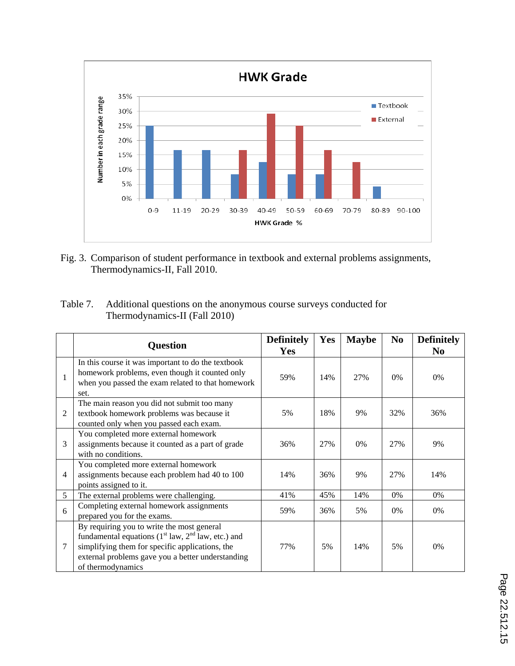

Fig. 3. Comparison of student performance in textbook and external problems assignments, Thermodynamics-II, Fall 2010.

| Table 7. Additional questions on the anonymous course surveys conducted for |
|-----------------------------------------------------------------------------|
| Thermodynamics-II (Fall 2010)                                               |

|                | <b>Question</b>                                                                                                                                                                                                                 | <b>Definitely</b><br><b>Yes</b> | <b>Yes</b> | <b>Maybe</b> | N <sub>0</sub> | <b>Definitely</b><br>N <sub>0</sub> |
|----------------|---------------------------------------------------------------------------------------------------------------------------------------------------------------------------------------------------------------------------------|---------------------------------|------------|--------------|----------------|-------------------------------------|
|                | In this course it was important to do the textbook<br>homework problems, even though it counted only<br>when you passed the exam related to that homework<br>set.                                                               | 59%                             | 14%        | 27%          | $0\%$          | 0%                                  |
| $\overline{2}$ | The main reason you did not submit too many<br>textbook homework problems was because it<br>counted only when you passed each exam.                                                                                             | 5%                              | 18%        | 9%           | 32%            | 36%                                 |
| 3              | You completed more external homework<br>assignments because it counted as a part of grade<br>with no conditions.                                                                                                                | 36%                             | 27%        | 0%           | 27%            | 9%                                  |
| $\overline{4}$ | You completed more external homework<br>assignments because each problem had 40 to 100<br>points assigned to it.                                                                                                                | 14%                             | 36%        | 9%           | 27%            | 14%                                 |
| 5              | The external problems were challenging.                                                                                                                                                                                         | 41%                             | 45%        | 14%          | $0\%$          | 0%                                  |
| 6              | Completing external homework assignments<br>prepared you for the exams.                                                                                                                                                         | 59%                             | 36%        | 5%           | $0\%$          | 0%                                  |
| 7              | By requiring you to write the most general<br>fundamental equations $(1st law, 2nd law, etc.)$ and<br>simplifying them for specific applications, the<br>external problems gave you a better understanding<br>of thermodynamics | 77%                             | 5%         | 14%          | 5%             | 0%                                  |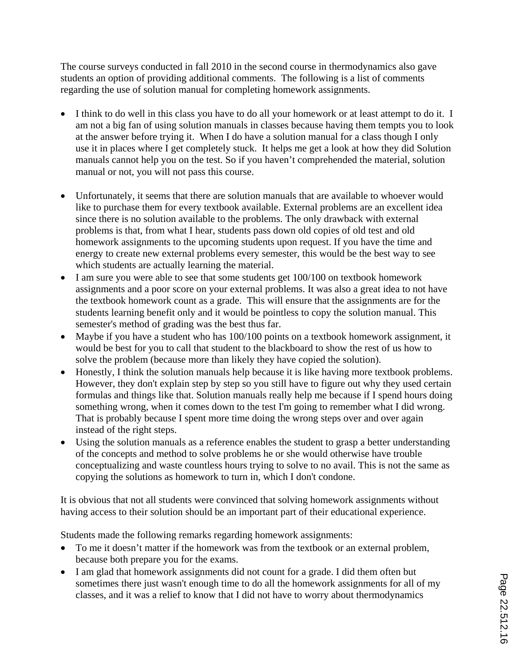The course surveys conducted in fall 2010 in the second course in thermodynamics also gave students an option of providing additional comments. The following is a list of comments regarding the use of solution manual for completing homework assignments.

- I think to do well in this class you have to do all your homework or at least attempt to do it. I am not a big fan of using solution manuals in classes because having them tempts you to look at the answer before trying it. When I do have a solution manual for a class though I only use it in places where I get completely stuck. It helps me get a look at how they did Solution manuals cannot help you on the test. So if you haven't comprehended the material, solution manual or not, you will not pass this course.
- Unfortunately, it seems that there are solution manuals that are available to whoever would like to purchase them for every textbook available. External problems are an excellent idea since there is no solution available to the problems. The only drawback with external problems is that, from what I hear, students pass down old copies of old test and old homework assignments to the upcoming students upon request. If you have the time and energy to create new external problems every semester, this would be the best way to see which students are actually learning the material.
- I am sure you were able to see that some students get 100/100 on textbook homework assignments and a poor score on your external problems. It was also a great idea to not have the textbook homework count as a grade. This will ensure that the assignments are for the students learning benefit only and it would be pointless to copy the solution manual. This semester's method of grading was the best thus far.
- Maybe if you have a student who has 100/100 points on a textbook homework assignment, it would be best for you to call that student to the blackboard to show the rest of us how to solve the problem (because more than likely they have copied the solution).
- Honestly, I think the solution manuals help because it is like having more textbook problems. However, they don't explain step by step so you still have to figure out why they used certain formulas and things like that. Solution manuals really help me because if I spend hours doing something wrong, when it comes down to the test I'm going to remember what I did wrong. That is probably because I spent more time doing the wrong steps over and over again instead of the right steps.
- Using the solution manuals as a reference enables the student to grasp a better understanding of the concepts and method to solve problems he or she would otherwise have trouble conceptualizing and waste countless hours trying to solve to no avail. This is not the same as copying the solutions as homework to turn in, which I don't condone.

It is obvious that not all students were convinced that solving homework assignments without having access to their solution should be an important part of their educational experience.

Students made the following remarks regarding homework assignments:

- To me it doesn't matter if the homework was from the textbook or an external problem, because both prepare you for the exams.
- I am glad that homework assignments did not count for a grade. I did them often but sometimes there just wasn't enough time to do all the homework assignments for all of my classes, and it was a relief to know that I did not have to worry about thermodynamics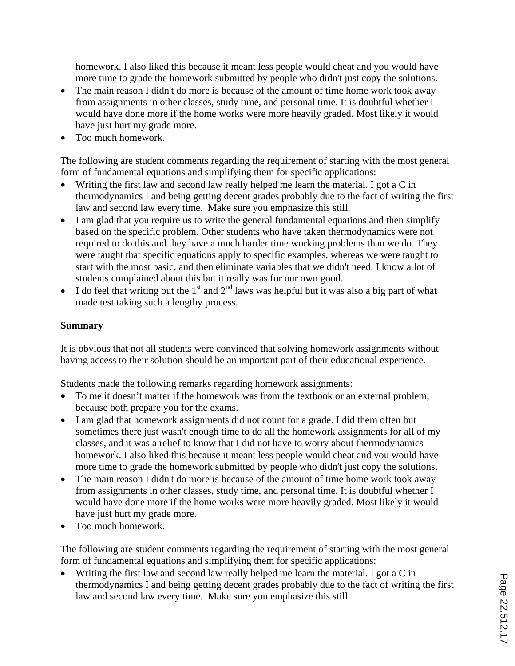homework. I also liked this because it meant less people would cheat and you would have more time to grade the homework submitted by people who didn't just copy the solutions.

- The main reason I didn't do more is because of the amount of time home work took away from assignments in other classes, study time, and personal time. It is doubtful whether I would have done more if the home works were more heavily graded. Most likely it would have just hurt my grade more.
- Too much homework.

The following are student comments regarding the requirement of starting with the most general form of fundamental equations and simplifying them for specific applications:

- Writing the first law and second law really helped me learn the material. I got a C in thermodynamics I and being getting decent grades probably due to the fact of writing the first law and second law every time. Make sure you emphasize this still.
- I am glad that you require us to write the general fundamental equations and then simplify based on the specific problem. Other students who have taken thermodynamics were not required to do this and they have a much harder time working problems than we do. They were taught that specific equations apply to specific examples, whereas we were taught to start with the most basic, and then eliminate variables that we didn't need. I know a lot of students complained about this but it really was for our own good.
- I do feel that writing out the 1<sup>st</sup> and  $2<sup>nd</sup>$  laws was helpful but it was also a big part of what made test taking such a lengthy process.

# **Summary**

It is obvious that not all students were convinced that solving homework assignments without having access to their solution should be an important part of their educational experience.

Students made the following remarks regarding homework assignments:

- To me it doesn't matter if the homework was from the textbook or an external problem, because both prepare you for the exams.
- I am glad that homework assignments did not count for a grade. I did them often but sometimes there just wasn't enough time to do all the homework assignments for all of my classes, and it was a relief to know that I did not have to worry about thermodynamics homework. I also liked this because it meant less people would cheat and you would have more time to grade the homework submitted by people who didn't just copy the solutions.
- The main reason I didn't do more is because of the amount of time home work took away from assignments in other classes, study time, and personal time. It is doubtful whether I would have done more if the home works were more heavily graded. Most likely it would have just hurt my grade more.
- Too much homework.

The following are student comments regarding the requirement of starting with the most general form of fundamental equations and simplifying them for specific applications:

• Writing the first law and second law really helped me learn the material. I got a C in thermodynamics I and being getting decent grades probably due to the fact of writing the first law and second law every time. Make sure you emphasize this still.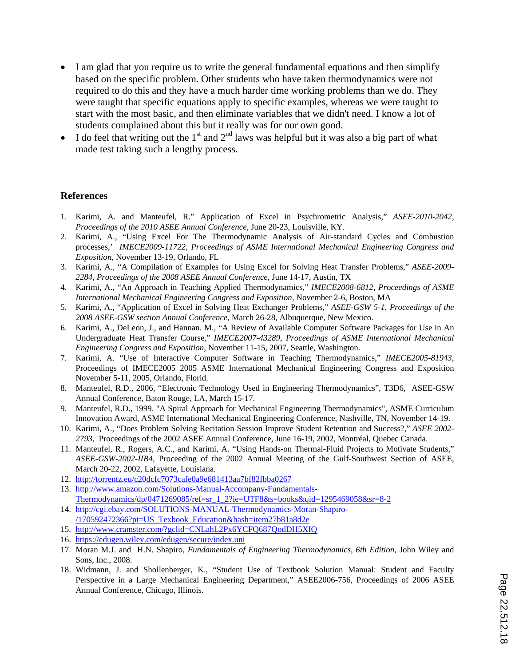- I am glad that you require us to write the general fundamental equations and then simplify based on the specific problem. Other students who have taken thermodynamics were not required to do this and they have a much harder time working problems than we do. They were taught that specific equations apply to specific examples, whereas we were taught to start with the most basic, and then eliminate variables that we didn't need. I know a lot of students complained about this but it really was for our own good.
- I do feel that writing out the 1<sup>st</sup> and  $2<sup>nd</sup>$  laws was helpful but it was also a big part of what made test taking such a lengthy process.

#### **References**

- 1. Karimi, A. and Manteufel, R." Application of Excel in Psychrometric Analysis," *ASEE-2010-2042, Proceedings of the 2010 ASEE Annual Conference,* June 20-23, Louisville, KY.
- 2. Karimi, A., "Using Excel For The Thermodynamic Analysis of Air-standard Cycles and Combustion processes,' *IMECE2009-11722, Proceedings of ASME International Mechanical Engineering Congress and Exposition*, November 13-19, Orlando, FL
- 3. Karimi, A., "A Compilation of Examples for Using Excel for Solving Heat Transfer Problems," *ASEE-2009- 2284, Proceedings of the 2008 ASEE Annual Conference,* June 14-17, Austin, TX
- 4. Karimi, A., "An Approach in Teaching Applied Thermodynamics," *IMECE2008-6812, Proceedings of ASME International Mechanical Engineering Congress and Exposition*, November 2-6, Boston, MA
- 5. Karimi, A., "Application of Excel in Solving Heat Exchanger Problems," *ASEE-GSW 5-1*, *Proceedings of the 2008 ASEE-GSW section Annual Conference,* March 26-28, Albuquerque, New Mexico.
- 6. Karimi, A., DeLeon, J., and Hannan. M., "A Review of Available Computer Software Packages for Use in An Undergraduate Heat Transfer Course," *IMECE2007-43289, Proceedings of ASME International Mechanical Engineering Congress and Exposition*, November 11-15, 2007, Seattle, Washington.
- 7. Karimi, A. "Use of Interactive Computer Software in Teaching Thermodynamics," *IMECE2005-81943*, Proceedings of IMECE2005 2005 ASME International Mechanical Engineering Congress and Exposition November 5-11, 2005, Orlando, Florid.
- 8. Manteufel, R.D., 2006, "Electronic Technology Used in Engineering Thermodynamics", T3D6, ASEE-GSW Annual Conference, Baton Rouge, LA, March 15-17.
- 9. Manteufel, R.D., 1999. "A Spiral Approach for Mechanical Engineering Thermodynamics", ASME Curriculum Innovation Award, ASME International Mechanical Engineering Conference, Nashville, TN, November 14-19.
- 10. Karimi, A., "Does Problem Solving Recitation Session Improve Student Retention and Success?," *ASEE 2002- 2793*, Proceedings of the 2002 ASEE Annual Conference, June 16-19, 2002, Montréal, Quebec Canada.
- 11. Manteufel, R., Rogers, A.C., and Karimi, A. "Using Hands-on Thermal-Fluid Projects to Motivate Students," *ASEE-GSW-2002-IIB4,* Proceeding of the 2002 Annual Meeting of the Gulf-Southwest Section of ASEE, March 20-22, 2002, Lafayette, Louisiana.
- 12. http://torrentz.eu/c20dcfc7073cafe0a9e681413aa7bf82fbba0267
- 13. http://www.amazon.com/Solutions-Manual-Accompany-Fundamentals-Thermodynamics/dp/0471269085/ref=sr\_1\_2?ie=UTF8&s=books&qid=1295469058&sr=8-2
- 14. http://cgi.ebay.com/SOLUTIONS-MANUAL-Thermodynamics-Moran-Shapiro- /170592472366?pt=US\_Texbook\_Education&hash=item27b81a8d2e
- 15. http://www.cramster.com/?gclid=CNLahL2Px6YCFQ687QodDH5XIQ
- 16. https://edugen.wiley.com/edugen/secure/index.uni
- 17. Moran M.J. and H.N. Shapiro, *Fundamentals of Engineering Thermodynamics, 6th Edition*, John Wiley and Sons, Inc., 2008.
- 18. Widmann, J. and Shollenberger, K., "Student Use of Textbook Solution Manual: Student and Faculty Perspective in a Large Mechanical Engineering Department," ASEE2006-756, Proceedings of 2006 ASEE Annual Conference, Chicago, Illinois.